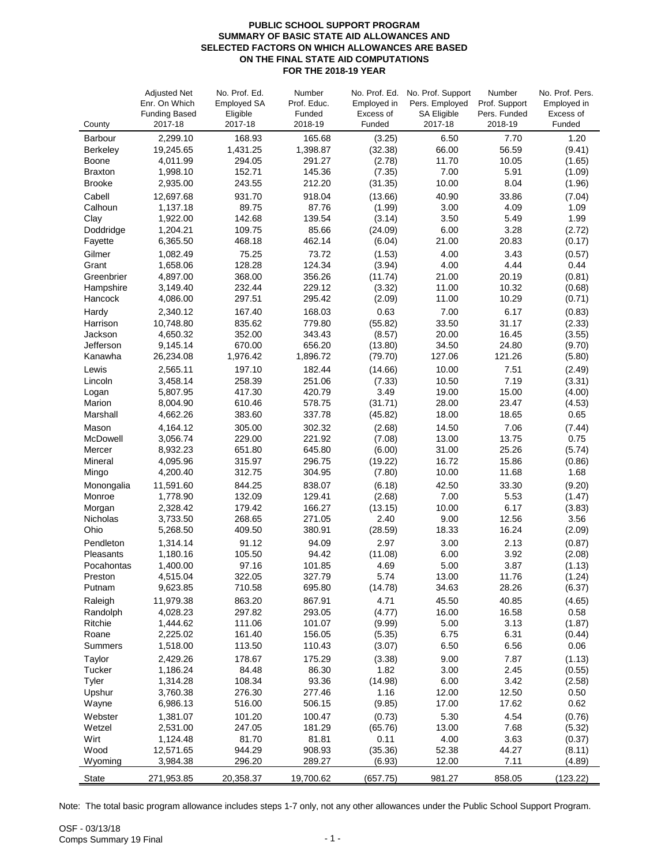## **PUBLIC SCHOOL SUPPORT PROGRAM SUMMARY OF BASIC STATE AID ALLOWANCES AND SELECTED FACTORS ON WHICH ALLOWANCES ARE BASED ON THE FINAL STATE AID COMPUTATIONS FOR THE 2018-19 YEAR**

|                      | <b>Adjusted Net</b>             | No. Prof. Ed.       | Number            | No. Prof. Ed.       | No. Prof. Support             | Number                  | No. Prof. Pers.     |
|----------------------|---------------------------------|---------------------|-------------------|---------------------|-------------------------------|-------------------------|---------------------|
|                      | Enr. On Which                   | <b>Employed SA</b>  | Prof. Educ.       | Employed in         | Pers. Employed                | Prof. Support           | Employed in         |
| County               | <b>Funding Based</b><br>2017-18 | Eligible<br>2017-18 | Funded<br>2018-19 | Excess of<br>Funded | <b>SA Eligible</b><br>2017-18 | Pers. Funded<br>2018-19 | Excess of<br>Funded |
| Barbour              | 2,299.10                        | 168.93              | 165.68            | (3.25)              | 6.50                          | 7.70                    | 1.20                |
| Berkeley             | 19,245.65                       | 1,431.25            | 1,398.87          | (32.38)             | 66.00                         | 56.59                   | (9.41)              |
| Boone                | 4,011.99                        | 294.05              | 291.27            | (2.78)              | 11.70                         | 10.05                   | (1.65)              |
| <b>Braxton</b>       | 1,998.10                        | 152.71              | 145.36            | (7.35)              | 7.00                          | 5.91                    | (1.09)              |
| <b>Brooke</b>        | 2,935.00                        | 243.55              | 212.20            | (31.35)             | 10.00                         | 8.04                    | (1.96)              |
| Cabell               | 12,697.68                       | 931.70              | 918.04            | (13.66)             | 40.90                         | 33.86                   | (7.04)              |
| Calhoun              | 1,137.18                        | 89.75               | 87.76             | (1.99)              | 3.00                          | 4.09                    | 1.09                |
| Clay                 | 1,922.00                        | 142.68              | 139.54            | (3.14)              | 3.50                          | 5.49                    | 1.99                |
| Doddridge            | 1,204.21                        | 109.75              | 85.66             | (24.09)             | 6.00                          | 3.28                    | (2.72)              |
| Fayette              | 6,365.50                        | 468.18              | 462.14            | (6.04)              | 21.00                         | 20.83                   | (0.17)              |
| Gilmer               | 1,082.49                        | 75.25               | 73.72             | (1.53)              | 4.00                          | 3.43                    | (0.57)              |
| Grant                | 1,658.06                        | 128.28              | 124.34            | (3.94)              | 4.00                          | 4.44                    | 0.44                |
| Greenbrier           | 4,897.00                        | 368.00              | 356.26            | (11.74)             | 21.00                         | 20.19                   | (0.81)              |
| Hampshire<br>Hancock | 3,149.40                        | 232.44<br>297.51    | 229.12<br>295.42  | (3.32)              | 11.00<br>11.00                | 10.32<br>10.29          | (0.68)              |
|                      | 4,086.00                        |                     |                   | (2.09)              |                               |                         | (0.71)              |
| Hardy<br>Harrison    | 2,340.12<br>10,748.80           | 167.40<br>835.62    | 168.03<br>779.80  | 0.63<br>(55.82)     | 7.00<br>33.50                 | 6.17<br>31.17           | (0.83)<br>(2.33)    |
| Jackson              | 4,650.32                        | 352.00              | 343.43            | (8.57)              | 20.00                         | 16.45                   | (3.55)              |
| Jefferson            | 9,145.14                        | 670.00              | 656.20            | (13.80)             | 34.50                         | 24.80                   | (9.70)              |
| Kanawha              | 26,234.08                       | 1,976.42            | 1,896.72          | (79.70)             | 127.06                        | 121.26                  | (5.80)              |
| Lewis                | 2,565.11                        | 197.10              | 182.44            | (14.66)             | 10.00                         | 7.51                    | (2.49)              |
| Lincoln              | 3,458.14                        | 258.39              | 251.06            | (7.33)              | 10.50                         | 7.19                    | (3.31)              |
| Logan                | 5,807.95                        | 417.30              | 420.79            | 3.49                | 19.00                         | 15.00                   | (4.00)              |
| Marion               | 8,004.90                        | 610.46              | 578.75            | (31.71)             | 28.00                         | 23.47                   | (4.53)              |
| Marshall             | 4,662.26                        | 383.60              | 337.78            | (45.82)             | 18.00                         | 18.65                   | 0.65                |
| Mason                | 4,164.12                        | 305.00              | 302.32            | (2.68)              | 14.50                         | 7.06                    | (7.44)              |
| McDowell             | 3,056.74                        | 229.00              | 221.92            | (7.08)              | 13.00                         | 13.75                   | 0.75                |
| Mercer               | 8,932.23                        | 651.80              | 645.80            | (6.00)              | 31.00                         | 25.26                   | (5.74)              |
| Mineral              | 4,095.96<br>4,200.40            | 315.97<br>312.75    | 296.75<br>304.95  | (19.22)<br>(7.80)   | 16.72<br>10.00                | 15.86<br>11.68          | (0.86)<br>1.68      |
| Mingo                |                                 |                     |                   |                     |                               |                         |                     |
| Monongalia<br>Monroe | 11,591.60<br>1,778.90           | 844.25<br>132.09    | 838.07<br>129.41  | (6.18)<br>(2.68)    | 42.50<br>7.00                 | 33.30<br>5.53           | (9.20)<br>(1.47)    |
| Morgan               | 2,328.42                        | 179.42              | 166.27            | (13.15)             | 10.00                         | 6.17                    | (3.83)              |
| <b>Nicholas</b>      | 3,733.50                        | 268.65              | 271.05            | 2.40                | 9.00                          | 12.56                   | 3.56                |
| Ohio                 | 5,268.50                        | 409.50              | 380.91            | (28.59)             | 18.33                         | 16.24                   | (2.09)              |
| Pendleton            | 1,314.14                        | 91.12               | 94.09             | 2.97                | 3.00                          | 2.13                    | (0.87)              |
| Pleasants            | 1,180.16                        | 105.50              | 94.42             | (11.08)             | 6.00                          | 3.92                    | (2.08)              |
| Pocahontas           | 1,400.00                        | 97.16               | 101.85            | 4.69                | 5.00                          | 3.87                    | (1.13)              |
| Preston              | 4,515.04                        | 322.05              | 327.79            | 5.74                | 13.00                         | 11.76                   | (1.24)              |
| Putnam               | 9,623.85                        | 710.58              | 695.80            | (14.78)             | 34.63                         | 28.26                   | (6.37)              |
| Raleigh              | 11,979.38                       | 863.20              | 867.91            | 4.71                | 45.50                         | 40.85                   | (4.65)              |
| Randolph             | 4,028.23                        | 297.82              | 293.05            | (4.77)              | 16.00                         | 16.58                   | 0.58                |
| Ritchie              | 1,444.62                        | 111.06              | 101.07            | (9.99)              | 5.00                          | 3.13                    | (1.87)              |
| Roane                | 2,225.02                        | 161.40<br>113.50    | 156.05            | (5.35)              | 6.75                          | 6.31                    | (0.44)              |
| Summers              | 1,518.00                        |                     | 110.43            | (3.07)              | 6.50                          | 6.56                    | 0.06                |
| Taylor<br>Tucker     | 2,429.26<br>1,186.24            | 178.67<br>84.48     | 175.29<br>86.30   | (3.38)<br>1.82      | 9.00<br>3.00                  | 7.87<br>2.45            | (1.13)              |
| Tyler                | 1,314.28                        | 108.34              | 93.36             | (14.98)             | 6.00                          | 3.42                    | (0.55)<br>(2.58)    |
| Upshur               | 3,760.38                        | 276.30              | 277.46            | 1.16                | 12.00                         | 12.50                   | 0.50                |
| Wayne                | 6,986.13                        | 516.00              | 506.15            | (9.85)              | 17.00                         | 17.62                   | 0.62                |
| Webster              | 1,381.07                        | 101.20              | 100.47            | (0.73)              | 5.30                          | 4.54                    | (0.76)              |
| Wetzel               | 2,531.00                        | 247.05              | 181.29            | (65.76)             | 13.00                         | 7.68                    | (5.32)              |
| Wirt                 | 1,124.48                        | 81.70               | 81.81             | 0.11                | 4.00                          | 3.63                    | (0.37)              |
| Wood                 | 12,571.65                       | 944.29              | 908.93            | (35.36)             | 52.38                         | 44.27                   | (8.11)              |
| Wyoming              | 3,984.38                        | 296.20              | 289.27            | (6.93)              | 12.00                         | 7.11                    | (4.89)              |
| State                | 271,953.85                      | 20,358.37           | 19,700.62         | (657.75)            | 981.27                        | 858.05                  | (123.22)            |

Note: The total basic program allowance includes steps 1-7 only, not any other allowances under the Public School Support Program.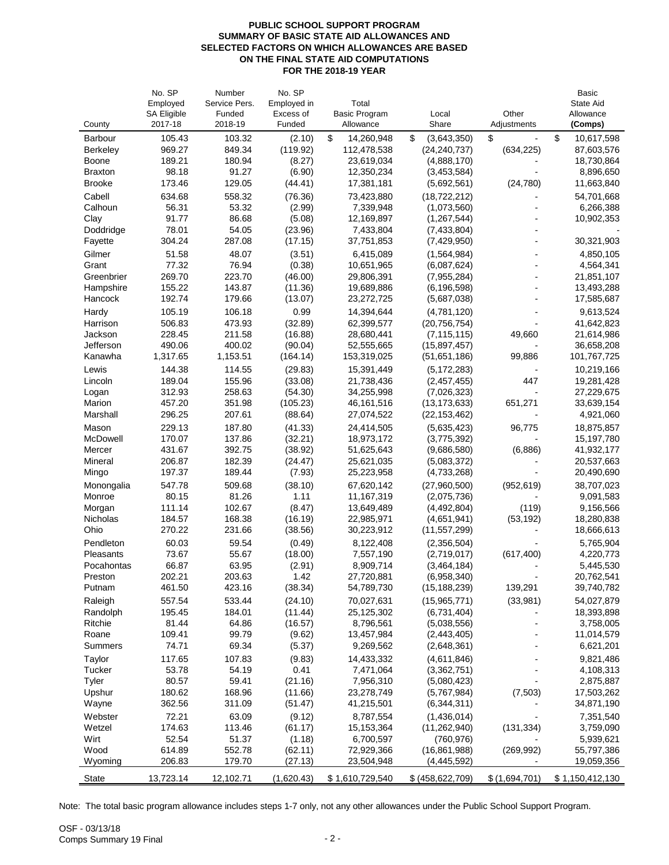## **PUBLIC SCHOOL SUPPORT PROGRAM SUMMARY OF BASIC STATE AID ALLOWANCES AND SELECTED FACTORS ON WHICH ALLOWANCES ARE BASED ON THE FINAL STATE AID COMPUTATIONS FOR THE 2018-19 YEAR**

|                        | No. SP                        | Number            | No. SP              |                            |                               |                      | <b>Basic</b>             |
|------------------------|-------------------------------|-------------------|---------------------|----------------------------|-------------------------------|----------------------|--------------------------|
|                        | Employed                      | Service Pers.     | Employed in         | Total                      |                               |                      | State Aid                |
| County                 | <b>SA Eligible</b><br>2017-18 | Funded<br>2018-19 | Excess of<br>Funded | Basic Program<br>Allowance | Local<br>Share                | Other<br>Adjustments | Allowance<br>(Comps)     |
| <b>Barbour</b>         | 105.43                        | 103.32            | (2.10)              | \$<br>14,260,948           | \$<br>(3,643,350)             | \$                   | \$<br>10,617,598         |
| <b>Berkeley</b>        | 969.27                        | 849.34            | (119.92)            | 112,478,538                | (24, 240, 737)                | (634, 225)           | 87,603,576               |
| Boone                  | 189.21                        | 180.94            | (8.27)              | 23,619,034                 | (4,888,170)                   |                      | 18,730,864               |
| <b>Braxton</b>         | 98.18                         | 91.27             | (6.90)              | 12,350,234                 | (3,453,584)                   |                      | 8,896,650                |
| <b>Brooke</b>          | 173.46                        | 129.05            | (44.41)             | 17,381,181                 | (5,692,561)                   | (24, 780)            | 11,663,840               |
| Cabell                 | 634.68                        | 558.32            | (76.36)             | 73,423,880                 | (18, 722, 212)                |                      | 54,701,668               |
| Calhoun                | 56.31                         | 53.32             | (2.99)              | 7,339,948                  | (1,073,560)                   |                      | 6,266,388                |
| Clay                   | 91.77                         | 86.68             | (5.08)              | 12,169,897                 | (1, 267, 544)                 |                      | 10,902,353               |
| Doddridge              | 78.01                         | 54.05             | (23.96)             | 7,433,804                  | (7,433,804)                   |                      |                          |
| Fayette                | 304.24                        | 287.08            | (17.15)             | 37,751,853                 | (7,429,950)                   |                      | 30,321,903               |
| Gilmer                 | 51.58                         | 48.07             | (3.51)              | 6,415,089                  | (1,564,984)                   |                      | 4,850,105                |
| Grant                  | 77.32                         | 76.94             | (0.38)              | 10,651,965                 | (6,087,624)                   |                      | 4,564,341                |
| Greenbrier             | 269.70                        | 223.70            | (46.00)             | 29,806,391                 | (7,955,284)                   |                      | 21,851,107               |
| Hampshire              | 155.22                        | 143.87            | (11.36)             | 19,689,886                 | (6, 196, 598)                 |                      | 13,493,288               |
| Hancock                | 192.74                        | 179.66            | (13.07)             | 23,272,725                 | (5,687,038)                   |                      | 17,585,687               |
| Hardy                  | 105.19                        | 106.18            | 0.99                | 14,394,644                 | (4,781,120)                   |                      | 9,613,524                |
| Harrison               | 506.83                        | 473.93            | (32.89)             | 62,399,577                 | (20, 756, 754)                |                      | 41,642,823               |
| Jackson                | 228.45                        | 211.58            | (16.88)             | 28,680,441                 | (7, 115, 115)                 | 49,660               | 21,614,986               |
| Jefferson              | 490.06                        | 400.02            | (90.04)             | 52,555,665                 | (15,897,457)                  |                      | 36,658,208               |
| Kanawha                | 1,317.65                      | 1,153.51          | (164.14)            | 153,319,025                | (51,651,186)                  | 99,886               | 101,767,725              |
| Lewis                  | 144.38                        | 114.55            | (29.83)             | 15,391,449                 | (5, 172, 283)                 |                      | 10,219,166               |
| Lincoln                | 189.04                        | 155.96            | (33.08)             | 21,738,436                 | (2,457,455)                   | 447                  | 19,281,428               |
| Logan                  | 312.93                        | 258.63            | (54.30)             | 34,255,998                 | (7,026,323)                   |                      | 27,229,675               |
| Marion                 | 457.20                        | 351.98            | (105.23)            | 46, 161, 516               | (13, 173, 633)                | 651,271              | 33,639,154               |
| Marshall               | 296.25                        | 207.61            | (88.64)             | 27,074,522                 | (22, 153, 462)                |                      | 4,921,060                |
| Mason                  | 229.13                        | 187.80            | (41.33)             | 24,414,505                 | (5,635,423)                   | 96,775               | 18,875,857               |
| McDowell               | 170.07                        | 137.86            | (32.21)             | 18,973,172                 | (3,775,392)                   |                      | 15,197,780               |
| Mercer                 | 431.67                        | 392.75            | (38.92)             | 51,625,643                 | (9,686,580)                   | (6,886)              | 41,932,177               |
| Mineral                | 206.87                        | 182.39            | (24.47)             | 25,621,035                 | (5,083,372)                   |                      | 20,537,663               |
| Mingo                  | 197.37                        | 189.44            | (7.93)              | 25,223,958                 | (4,733,268)                   |                      | 20,490,690               |
| Monongalia             | 547.78                        | 509.68            | (38.10)             | 67,620,142                 | (27,960,500)                  | (952, 619)           | 38,707,023               |
| Monroe                 | 80.15                         | 81.26             | 1.11                | 11,167,319                 | (2,075,736)                   |                      | 9,091,583                |
| Morgan                 | 111.14                        | 102.67            | (8.47)              | 13,649,489<br>22,985,971   | (4,492,804)                   | (119)                | 9,156,566                |
| Nicholas<br>Ohio       | 184.57<br>270.22              | 168.38<br>231.66  | (16.19)<br>(38.56)  | 30,223,912                 | (4,651,941)<br>(11, 557, 299) | (53, 192)            | 18,280,838<br>18,666,613 |
|                        |                               |                   |                     |                            |                               |                      |                          |
| Pendleton<br>Pleasants | 60.03                         | 59.54             | (0.49)              | 8,122,408                  | (2,356,504)                   |                      | 5,765,904                |
|                        | 73.67<br>66.87                | 55.67<br>63.95    | (18.00)             | 7,557,190<br>8,909,714     | (2,719,017)<br>(3,464,184)    | (617, 400)           | 4,220,773<br>5,445,530   |
| Pocahontas<br>Preston  | 202.21                        | 203.63            | (2.91)<br>1.42      | 27,720,881                 | (6,958,340)                   |                      | 20,762,541               |
| Putnam                 | 461.50                        | 423.16            | (38.34)             | 54,789,730                 | (15, 188, 239)                | 139,291              | 39,740,782               |
| Raleigh                | 557.54                        | 533.44            | (24.10)             | 70,027,631                 | (15,965,771)                  | (33,981)             | 54,027,879               |
| Randolph               | 195.45                        | 184.01            | (11.44)             | 25,125,302                 | (6,731,404)                   |                      | 18,393,898               |
| Ritchie                | 81.44                         | 64.86             | (16.57)             | 8,796,561                  | (5,038,556)                   |                      | 3,758,005                |
| Roane                  | 109.41                        | 99.79             | (9.62)              | 13,457,984                 | (2,443,405)                   |                      | 11,014,579               |
| Summers                | 74.71                         | 69.34             | (5.37)              | 9,269,562                  | (2,648,361)                   |                      | 6,621,201                |
| Taylor                 | 117.65                        | 107.83            | (9.83)              | 14,433,332                 | (4,611,846)                   |                      | 9,821,486                |
| Tucker                 | 53.78                         | 54.19             | 0.41                | 7,471,064                  | (3,362,751)                   |                      | 4,108,313                |
| Tyler                  | 80.57                         | 59.41             | (21.16)             | 7,956,310                  | (5,080,423)                   |                      | 2,875,887                |
| Upshur                 | 180.62                        | 168.96            | (11.66)             | 23,278,749                 | (5,767,984)                   | (7,503)              | 17,503,262               |
| Wayne                  | 362.56                        | 311.09            | (51.47)             | 41,215,501                 | (6,344,311)                   |                      | 34,871,190               |
| Webster                | 72.21                         | 63.09             | (9.12)              | 8,787,554                  | (1,436,014)                   |                      | 7,351,540                |
| Wetzel                 | 174.63                        | 113.46            | (61.17)             | 15, 153, 364               | (11, 262, 940)                | (131, 334)           | 3,759,090                |
| Wirt                   | 52.54                         | 51.37             | (1.18)              | 6,700,597                  | (760, 976)                    |                      | 5,939,621                |
| Wood                   | 614.89                        | 552.78            | (62.11)             | 72,929,366                 | (16, 861, 988)                | (269, 992)           | 55,797,386               |
| Wyoming                | 206.83                        | 179.70            | (27.13)             | 23,504,948                 | (4,445,592)                   |                      | 19,059,356               |
| <b>State</b>           | 13,723.14                     | 12,102.71         | (1,620.43)          | \$1,610,729,540            | \$ (458, 622, 709)            | \$(1,694,701)        | \$1,150,412,130          |

Note: The total basic program allowance includes steps 1-7 only, not any other allowances under the Public School Support Program.